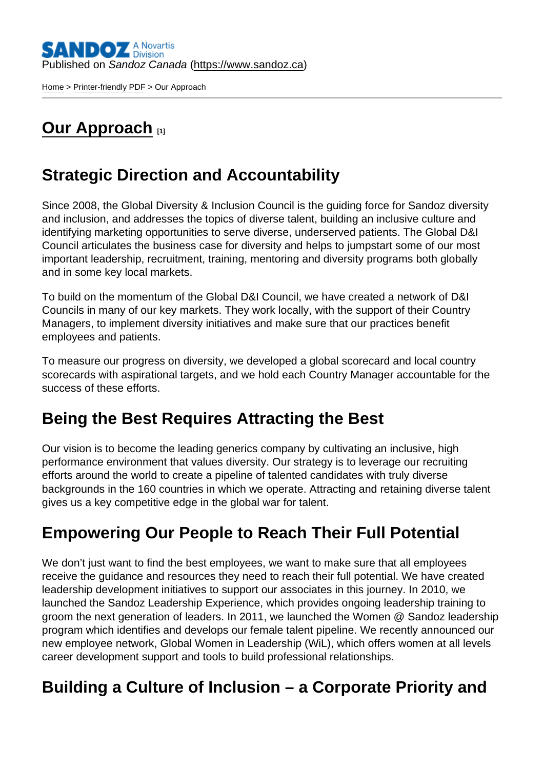[Home](https://www.sandoz.ca/en) > [Printer-friendly PDF](https://www.sandoz.ca/en/printpdf) > Our Approach

# [Our Approach](https://www.sandoz.ca/en/careers/diversity-inclusion/our-approach) [1]

## Strategic Direction and Accountability

Since 2008, the Global Diversity & Inclusion Council is the guiding force for Sandoz diversity and inclusion, and addresses the topics of diverse talent, building an inclusive culture and identifying marketing opportunities to serve diverse, underserved patients. The Global D&I Council articulates the business case for diversity and helps to jumpstart some of our most important leadership, recruitment, training, mentoring and diversity programs both globally and in some key local markets.

To build on the momentum of the Global D&I Council, we have created a network of D&I Councils in many of our key markets. They work locally, with the support of their Country Managers, to implement diversity initiatives and make sure that our practices benefit employees and patients.

To measure our progress on diversity, we developed a global scorecard and local country scorecards with aspirational targets, and we hold each Country Manager accountable for the success of these efforts.

### Being the Best Requires Attracting the Best

Our vision is to become the leading generics company by cultivating an inclusive, high performance environment that values diversity. Our strategy is to leverage our recruiting efforts around the world to create a pipeline of talented candidates with truly diverse backgrounds in the 160 countries in which we operate. Attracting and retaining diverse talent gives us a key competitive edge in the global war for talent.

# Empowering Our People to Reach Their Full Potential

We don't just want to find the best employees, we want to make sure that all employees receive the guidance and resources they need to reach their full potential. We have created leadership development initiatives to support our associates in this journey. In 2010, we launched the Sandoz Leadership Experience, which provides ongoing leadership training to groom the next generation of leaders. In 2011, we launched the Women @ Sandoz leadership program which identifies and develops our female talent pipeline. We recently announced our new employee network, Global Women in Leadership (WiL), which offers women at all levels career development support and tools to build professional relationships.

### Building a Culture of Inclusion – a Corporate Priority and